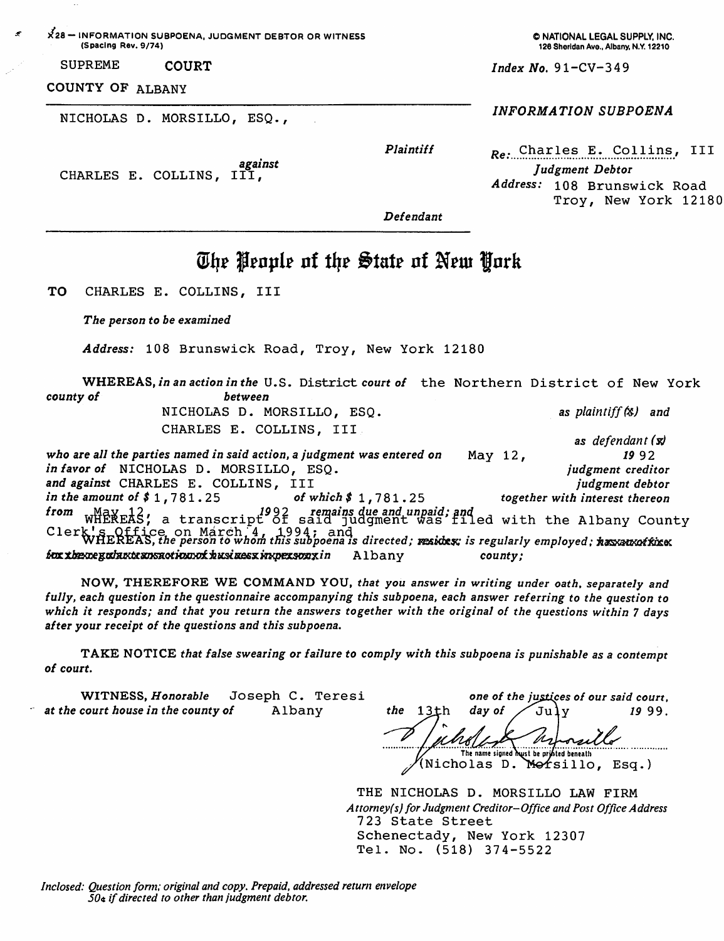)^28— INFORMATION SUBPOENA, JUDGMENT DEBTOR OR WITNESS (Spacing Rev. 9/74)

SUPREME COURT

# COUNTY OF ALBANY

NICHOLAS D. MORSILLO, ESQ.,

O NATIONAL LEGAL SUPPLY. INC. 126 Sheridan Ave., Albany, N.Y. 12210

 $Index No. 91 - CV - 349$ 

## INFORMATION SUBPOENA

Plaintiff

against<br>CHARLES E. COLLINS, III,

 $R_e$ . Charles E. Collins, III Judgment Debtor Address: 108 Brunswick Road Troy, New York 12180

Defendant

# The Penple of the State of New York

TO CHARLES E. COLLINS, III

The person to be examined

Address: 108 Brunswick Road, Troy, New York 12180

WHEREAS,*in an action in the* U.S. District *court of* the Northern District of New York<br>rof county of NICHOLAS D. MORSILLO, ESQ. as plaintiff (\$) and CHARLES E. COLLINS, III as defendant  $(x)$ 

who are all the parties named in said action, a judgment was entered on  $May 12$ , 19 9 2 in favor of NICHOLAS D. MORSILLO, ESO. judgment creditor and against CHARLES E. COLLINS, III judgment debtor in the amount of  $$1, 781.25$  of which  $$1, 781.25$ together with interest thereon wHeNEAS; a transcript of said judgment was filed with the Albany County from Clerk's Office on March<sup>-4</sup>, 1994; and<br>WHEREAS, the person to whom this subpoena is directed; mesides; is regularly employed: hassausoffices<br>for the county: county: Albany

NOW, THEREFORE WE COMMAND YOU, that you answer in writing under oath, separately and fully, each question in the questionnaire accompanying this subpoena, each answer referring to the question to which it responds; and that you return the answers together with the original of the questions within 7 days after your receipt of the questions and this subpoena,

TAKE NOTICE that false swearing or failure to comply with this subpoena is punishable as a contempt of court.

WITNESS, Honorable Joseph C. Teresi<br>court house in the county of Albany at the court house in the county of

one of the justices of our said court, the 13th day of  $\sqrt{Ju}$ y 19 99. The name signed hust be printed beneath (Nicholas D. Morsillo, Esq.)

THE NICHOLAS D. MORSILLO LAW FIRM Attorney(s) for Judgment Creditor-Office and Post Office Address 723 State Street Schenectady, New York 12307 Tel. No. (518) 374-5522